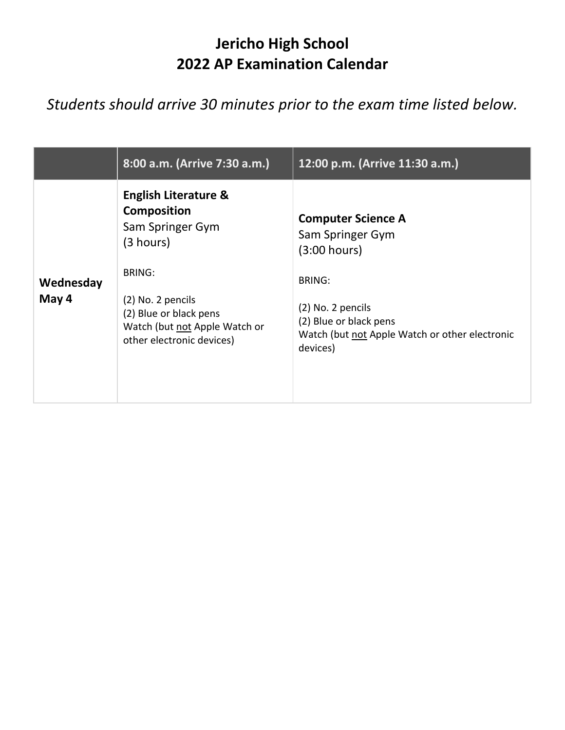## **Jericho High School 2022 AP Examination Calendar**

## *Students should arrive 30 minutes prior to the exam time listed below.*

|                    | 8:00 a.m. (Arrive 7:30 a.m.)                                                                                                                                                                                  | 12:00 p.m. (Arrive 11:30 a.m.)                                                                                                                                                              |
|--------------------|---------------------------------------------------------------------------------------------------------------------------------------------------------------------------------------------------------------|---------------------------------------------------------------------------------------------------------------------------------------------------------------------------------------------|
| Wednesday<br>May 4 | <b>English Literature &amp;</b><br><b>Composition</b><br>Sam Springer Gym<br>(3 hours)<br>BRING:<br>(2) No. 2 pencils<br>(2) Blue or black pens<br>Watch (but not Apple Watch or<br>other electronic devices) | <b>Computer Science A</b><br>Sam Springer Gym<br>(3:00 hours)<br><b>BRING:</b><br>(2) No. 2 pencils<br>(2) Blue or black pens<br>Watch (but not Apple Watch or other electronic<br>devices) |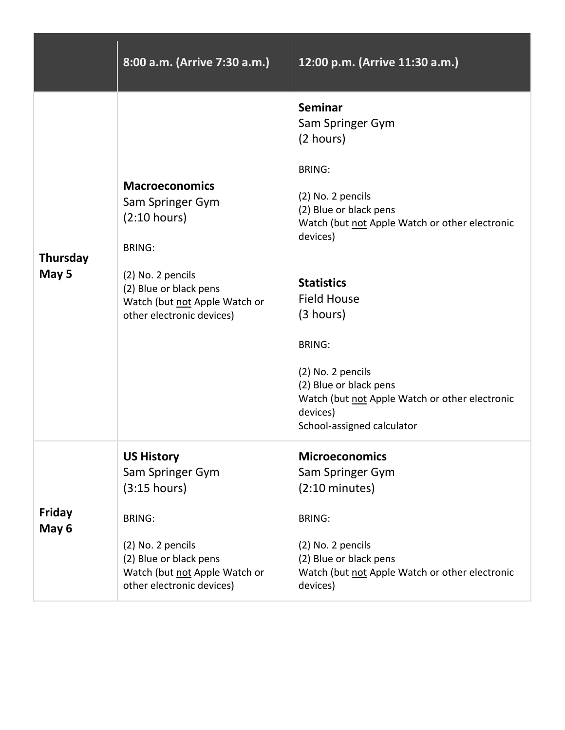|                          | 8:00 a.m. (Arrive 7:30 a.m.)                                                                                                                                                            | 12:00 p.m. (Arrive 11:30 a.m.)                                                                                                                                                                                                                                                                                                                                                                    |
|--------------------------|-----------------------------------------------------------------------------------------------------------------------------------------------------------------------------------------|---------------------------------------------------------------------------------------------------------------------------------------------------------------------------------------------------------------------------------------------------------------------------------------------------------------------------------------------------------------------------------------------------|
| <b>Thursday</b><br>May 5 | <b>Macroeconomics</b><br>Sam Springer Gym<br>(2:10 hours)<br><b>BRING:</b><br>(2) No. 2 pencils<br>(2) Blue or black pens<br>Watch (but not Apple Watch or<br>other electronic devices) | <b>Seminar</b><br>Sam Springer Gym<br>(2 hours)<br><b>BRING:</b><br>(2) No. 2 pencils<br>(2) Blue or black pens<br>Watch (but not Apple Watch or other electronic<br>devices)<br><b>Statistics</b><br><b>Field House</b><br>(3 hours)<br><b>BRING:</b><br>(2) No. 2 pencils<br>(2) Blue or black pens<br>Watch (but not Apple Watch or other electronic<br>devices)<br>School-assigned calculator |
| <b>Friday</b><br>May 6   | <b>US History</b><br>Sam Springer Gym<br>(3:15 hours)<br><b>BRING:</b><br>(2) No. 2 pencils<br>(2) Blue or black pens<br>Watch (but not Apple Watch or<br>other electronic devices)     | <b>Microeconomics</b><br>Sam Springer Gym<br>$(2:10 \text{ minutes})$<br><b>BRING:</b><br>(2) No. 2 pencils<br>(2) Blue or black pens<br>Watch (but not Apple Watch or other electronic<br>devices)                                                                                                                                                                                               |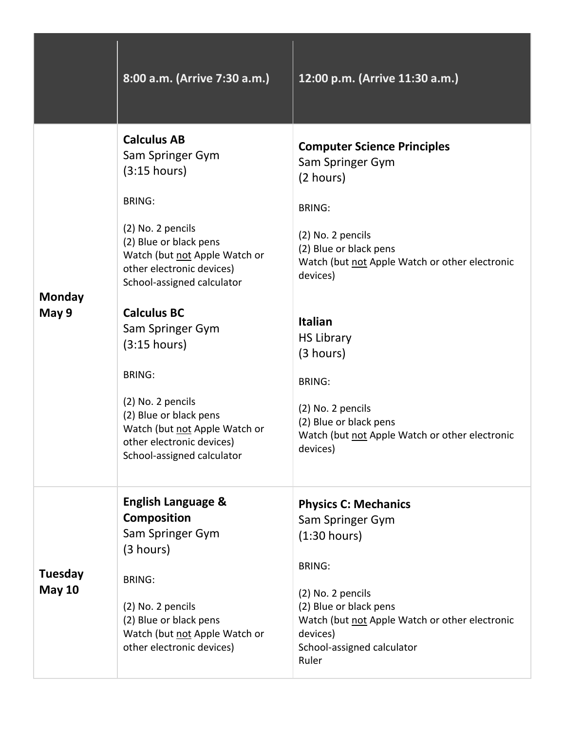|                                 | 8:00 a.m. (Arrive 7:30 a.m.)                                                                                                                                                                                                                                                                                                                                                                                                             | 12:00 p.m. (Arrive 11:30 a.m.)                                                                                                                                                                                                                                                                                                                                                      |
|---------------------------------|------------------------------------------------------------------------------------------------------------------------------------------------------------------------------------------------------------------------------------------------------------------------------------------------------------------------------------------------------------------------------------------------------------------------------------------|-------------------------------------------------------------------------------------------------------------------------------------------------------------------------------------------------------------------------------------------------------------------------------------------------------------------------------------------------------------------------------------|
| Monday<br>May 9                 | <b>Calculus AB</b><br>Sam Springer Gym<br>(3:15 hours)<br><b>BRING:</b><br>(2) No. 2 pencils<br>(2) Blue or black pens<br>Watch (but not Apple Watch or<br>other electronic devices)<br>School-assigned calculator<br><b>Calculus BC</b><br>Sam Springer Gym<br>(3:15 hours)<br><b>BRING:</b><br>(2) No. 2 pencils<br>(2) Blue or black pens<br>Watch (but not Apple Watch or<br>other electronic devices)<br>School-assigned calculator | <b>Computer Science Principles</b><br>Sam Springer Gym<br>(2 hours)<br><b>BRING:</b><br>(2) No. 2 pencils<br>(2) Blue or black pens<br>Watch (but not Apple Watch or other electronic<br>devices)<br><b>Italian</b><br><b>HS Library</b><br>(3 hours)<br><b>BRING:</b><br>(2) No. 2 pencils<br>(2) Blue or black pens<br>Watch (but not Apple Watch or other electronic<br>devices) |
| <b>Tuesday</b><br><b>May 10</b> | <b>English Language &amp;</b><br><b>Composition</b><br>Sam Springer Gym<br>(3 hours)<br><b>BRING:</b><br>(2) No. 2 pencils<br>(2) Blue or black pens<br>Watch (but not Apple Watch or<br>other electronic devices)                                                                                                                                                                                                                       | <b>Physics C: Mechanics</b><br>Sam Springer Gym<br>(1:30 hours)<br><b>BRING:</b><br>(2) No. 2 pencils<br>(2) Blue or black pens<br>Watch (but not Apple Watch or other electronic<br>devices)<br>School-assigned calculator<br>Ruler                                                                                                                                                |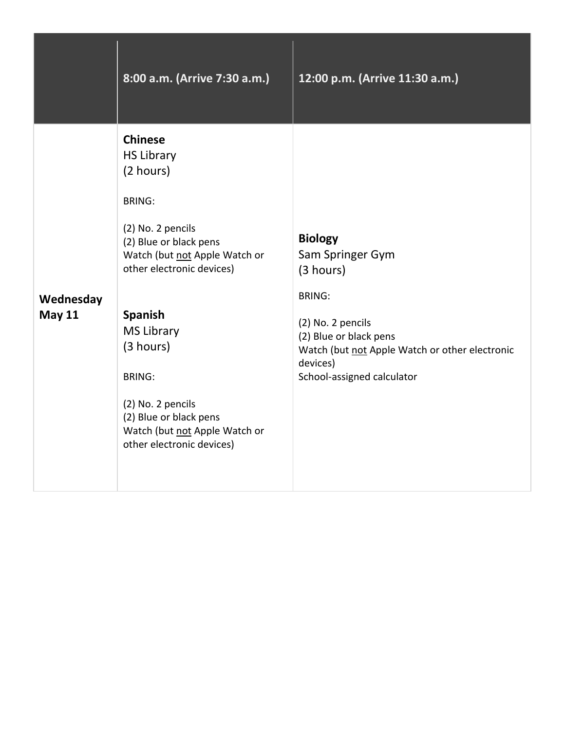|                            | 8:00 a.m. (Arrive 7:30 a.m.)                                                                                                                                                                                                                                                                                                                                     | 12:00 p.m. (Arrive 11:30 a.m.)                                                                                                                                                                              |
|----------------------------|------------------------------------------------------------------------------------------------------------------------------------------------------------------------------------------------------------------------------------------------------------------------------------------------------------------------------------------------------------------|-------------------------------------------------------------------------------------------------------------------------------------------------------------------------------------------------------------|
| Wednesday<br><b>May 11</b> | <b>Chinese</b><br><b>HS Library</b><br>(2 hours)<br><b>BRING:</b><br>(2) No. 2 pencils<br>(2) Blue or black pens<br>Watch (but not Apple Watch or<br>other electronic devices)<br><b>Spanish</b><br><b>MS Library</b><br>(3 hours)<br><b>BRING:</b><br>(2) No. 2 pencils<br>(2) Blue or black pens<br>Watch (but not Apple Watch or<br>other electronic devices) | <b>Biology</b><br>Sam Springer Gym<br>(3 hours)<br><b>BRING:</b><br>(2) No. 2 pencils<br>(2) Blue or black pens<br>Watch (but not Apple Watch or other electronic<br>devices)<br>School-assigned calculator |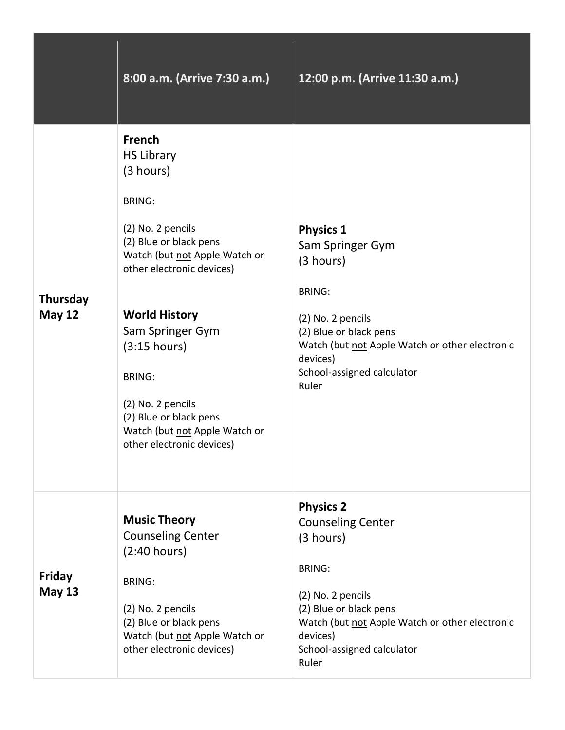|                                  | 8:00 a.m. (Arrive 7:30 a.m.)                                                                                                                                                                                                                                                                                                                                            | 12:00 p.m. (Arrive 11:30 a.m.)                                                                                                                                                                                                 |
|----------------------------------|-------------------------------------------------------------------------------------------------------------------------------------------------------------------------------------------------------------------------------------------------------------------------------------------------------------------------------------------------------------------------|--------------------------------------------------------------------------------------------------------------------------------------------------------------------------------------------------------------------------------|
| <b>Thursday</b><br><b>May 12</b> | <b>French</b><br><b>HS Library</b><br>(3 hours)<br><b>BRING:</b><br>(2) No. 2 pencils<br>(2) Blue or black pens<br>Watch (but not Apple Watch or<br>other electronic devices)<br><b>World History</b><br>Sam Springer Gym<br>(3:15 hours)<br><b>BRING:</b><br>(2) No. 2 pencils<br>(2) Blue or black pens<br>Watch (but not Apple Watch or<br>other electronic devices) | <b>Physics 1</b><br>Sam Springer Gym<br>(3 hours)<br><b>BRING:</b><br>(2) No. 2 pencils<br>(2) Blue or black pens<br>Watch (but not Apple Watch or other electronic<br>devices)<br>School-assigned calculator<br>Ruler         |
| <b>Friday</b><br><b>May 13</b>   | <b>Music Theory</b><br><b>Counseling Center</b><br>(2:40 hours)<br><b>BRING:</b><br>(2) No. 2 pencils<br>(2) Blue or black pens<br>Watch (but not Apple Watch or<br>other electronic devices)                                                                                                                                                                           | <b>Physics 2</b><br><b>Counseling Center</b><br>(3 hours)<br><b>BRING:</b><br>(2) No. 2 pencils<br>(2) Blue or black pens<br>Watch (but not Apple Watch or other electronic<br>devices)<br>School-assigned calculator<br>Ruler |